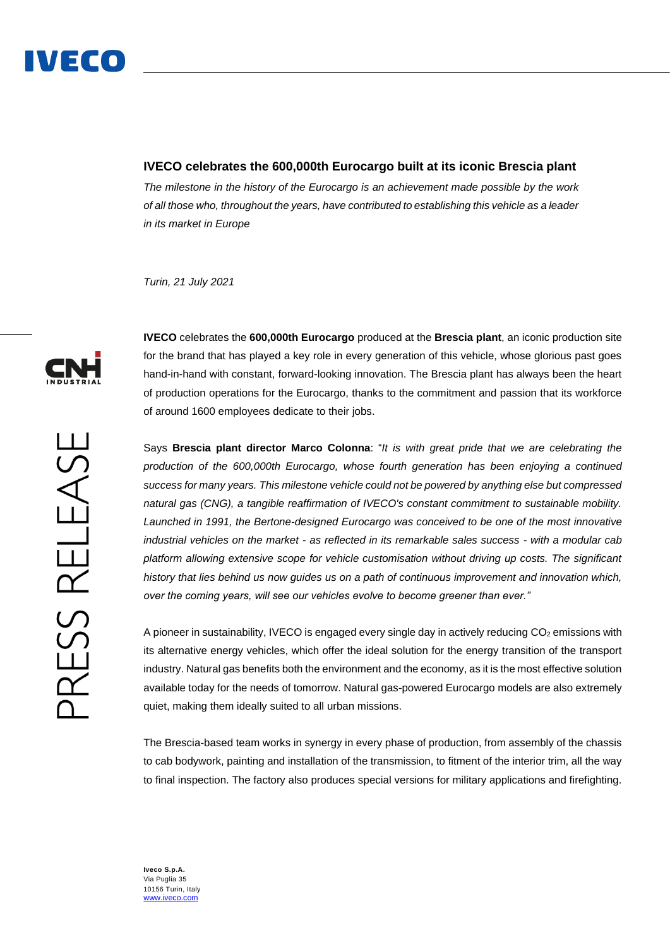

## **IVECO celebrates the 600,000th Eurocargo built at its iconic Brescia plant**

*The milestone in the history of the Eurocargo is an achievement made possible by the work of all those who, throughout the years, have contributed to establishing this vehicle as a leader in its market in Europe* 

*Turin, 21 July 2021*



**IVECO** celebrates the **600,000th Eurocargo** produced at the **Brescia plant**, an iconic production site for the brand that has played a key role in every generation of this vehicle, whose glorious past goes hand-in-hand with constant, forward-looking innovation. The Brescia plant has always been the heart of production operations for the Eurocargo, thanks to the commitment and passion that its workforce of around 1600 employees dedicate to their jobs.

Says **Brescia plant director Marco Colonna**: "*It is with great pride that we are celebrating the production of the 600,000th Eurocargo, whose fourth generation has been enjoying a continued success for many years. This milestone vehicle could not be powered by anything else but compressed natural gas (CNG), a tangible reaffirmation of IVECO's constant commitment to sustainable mobility. Launched in 1991, the Bertone-designed Eurocargo was conceived to be one of the most innovative industrial vehicles on the market - as reflected in its remarkable sales success - with a modular cab platform allowing extensive scope for vehicle customisation without driving up costs. The significant history that lies behind us now guides us on a path of continuous improvement and innovation which, over the coming years, will see our vehicles evolve to become greener than ever."*

A pioneer in sustainability, IVECO is engaged every single day in actively reducing  $CO<sub>2</sub>$  emissions with its alternative energy vehicles, which offer the ideal solution for the energy transition of the transport industry. Natural gas benefits both the environment and the economy, as it is the most effective solution available today for the needs of tomorrow. Natural gas-powered Eurocargo models are also extremely quiet, making them ideally suited to all urban missions.

The Brescia-based team works in synergy in every phase of production, from assembly of the chassis to cab bodywork, painting and installation of the transmission, to fitment of the interior trim, all the way to final inspection. The factory also produces special versions for military applications and firefighting.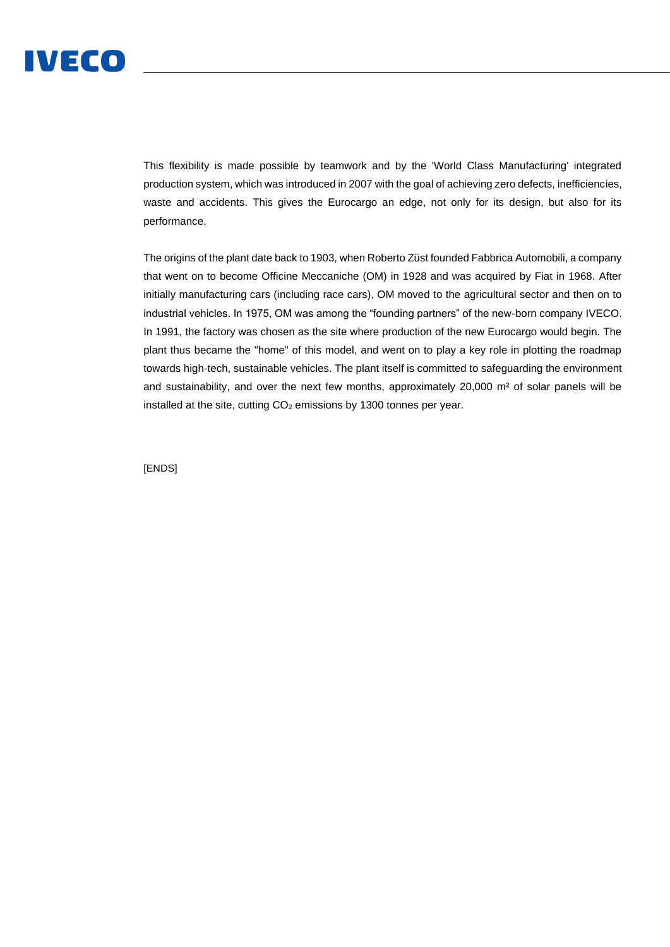

This flexibility is made possible by teamwork and by the 'World Class Manufacturing' integrated production system, which was introduced in 2007 with the goal of achieving zero defects, inefficiencies, waste and accidents. This gives the Eurocargo an edge, not only for its design, but also for its performance.

The origins of the plant date back to 1903, when Roberto Züst founded Fabbrica Automobili, a company that went on to become Officine Meccaniche (OM) in 1928 and was acquired by Fiat in 1968. After initially manufacturing cars (including race cars), OM moved to the agricultural sector and then on to industrial vehicles. In 1975, OM was among the "founding partners" of the new-born company IVECO. In 1991, the factory was chosen as the site where production of the new Eurocargo would begin. The plant thus became the "home" of this model, and went on to play a key role in plotting the roadmap towards high-tech, sustainable vehicles. The plant itself is committed to safeguarding the environment and sustainability, and over the next few months, approximately 20,000 m² of solar panels will be installed at the site, cutting  $CO<sub>2</sub>$  emissions by 1300 tonnes per year.

[ENDS]